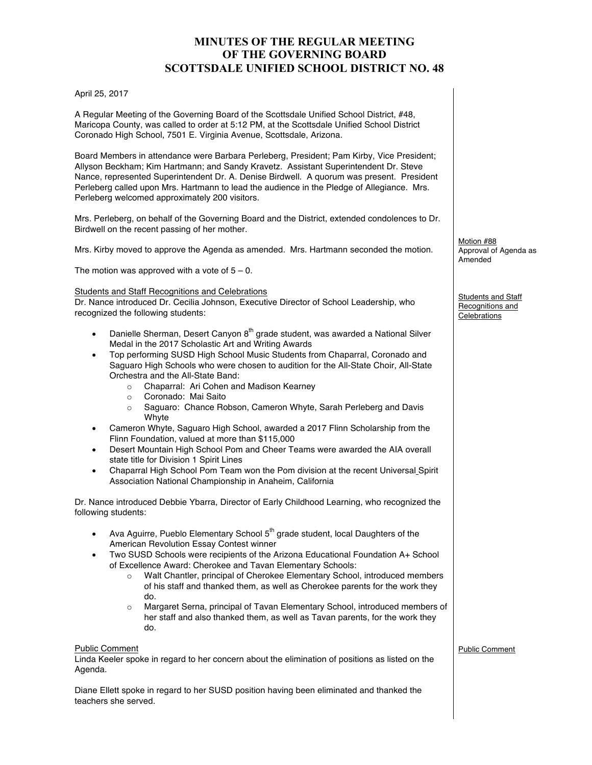# **MINUTES OF THE REGULAR MEETING OF THE GOVERNING BOARD SCOTTSDALE UNIFIED SCHOOL DISTRICT NO. 48**

#### April 25, 2017

A Regular Meeting of the Governing Board of the Scottsdale Unified School District, #48, Maricopa County, was called to order at 5:12 PM, at the Scottsdale Unified School District Coronado High School, 7501 E. Virginia Avenue, Scottsdale, Arizona.

Board Members in attendance were Barbara Perleberg, President; Pam Kirby, Vice President; Allyson Beckham; Kim Hartmann; and Sandy Kravetz. Assistant Superintendent Dr. Steve Nance, represented Superintendent Dr. A. Denise Birdwell. A quorum was present. President Perleberg called upon Mrs. Hartmann to lead the audience in the Pledge of Allegiance. Mrs. Perleberg welcomed approximately 200 visitors.

Mrs. Perleberg, on behalf of the Governing Board and the District, extended condolences to Dr. Birdwell on the recent passing of her mother.

Mrs. Kirby moved to approve the Agenda as amended. Mrs. Hartmann seconded the motion.

The motion was approved with a vote of  $5 - 0$ .

#### Students and Staff Recognitions and Celebrations

Dr. Nance introduced Dr. Cecilia Johnson, Executive Director of School Leadership, who recognized the following students:

- Danielle Sherman, Desert Canyon 8<sup>th</sup> grade student, was awarded a National Silver Medal in the 2017 Scholastic Art and Writing Awards
- Top performing SUSD High School Music Students from Chaparral, Coronado and Saguaro High Schools who were chosen to audition for the All-State Choir, All-State Orchestra and the All-State Band:
	- o Chaparral: Ari Cohen and Madison Kearney
	- o Coronado: Mai Saito
	- o Saguaro: Chance Robson, Cameron Whyte, Sarah Perleberg and Davis **Whyte**
- Cameron Whyte, Saguaro High School, awarded a 2017 Flinn Scholarship from the Flinn Foundation, valued at more than \$115,000
- Desert Mountain High School Pom and Cheer Teams were awarded the AIA overall state title for Division 1 Spirit Lines
- Chaparral High School Pom Team won the Pom division at the recent Universal Spirit Association National Championship in Anaheim, California

Dr. Nance introduced Debbie Ybarra, Director of Early Childhood Learning, who recognized the following students:

- Ava Aguirre, Pueblo Elementary School  $5<sup>th</sup>$  grade student, local Daughters of the American Revolution Essay Contest winner
- Two SUSD Schools were recipients of the Arizona Educational Foundation A+ School of Excellence Award: Cherokee and Tavan Elementary Schools:
	- Walt Chantler, principal of Cherokee Elementary School, introduced members of his staff and thanked them, as well as Cherokee parents for the work they do.
	- o Margaret Serna, principal of Tavan Elementary School, introduced members of her staff and also thanked them, as well as Tavan parents, for the work they do.

### Public Comment

Linda Keeler spoke in regard to her concern about the elimination of positions as listed on the Agenda.

Diane Ellett spoke in regard to her SUSD position having been eliminated and thanked the teachers she served.

Motion #88 Approval of Agenda as Amended

Students and Staff Recognitions and **Celebrations** 

Public Comment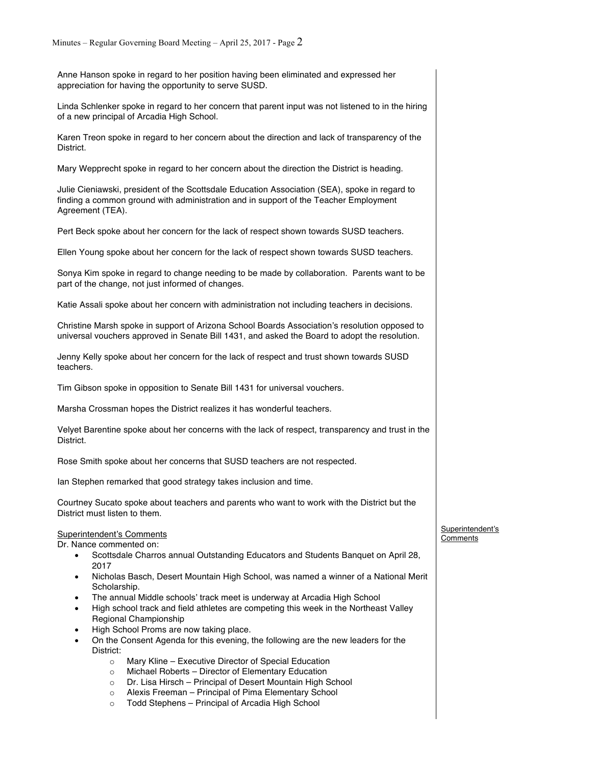Anne Hanson spoke in regard to her position having been eliminated and expressed her appreciation for having the opportunity to serve SUSD.

Linda Schlenker spoke in regard to her concern that parent input was not listened to in the hiring of a new principal of Arcadia High School.

Karen Treon spoke in regard to her concern about the direction and lack of transparency of the District.

Mary Wepprecht spoke in regard to her concern about the direction the District is heading.

Julie Cieniawski, president of the Scottsdale Education Association (SEA), spoke in regard to finding a common ground with administration and in support of the Teacher Employment Agreement (TEA).

Pert Beck spoke about her concern for the lack of respect shown towards SUSD teachers.

Ellen Young spoke about her concern for the lack of respect shown towards SUSD teachers.

Sonya Kim spoke in regard to change needing to be made by collaboration. Parents want to be part of the change, not just informed of changes.

Katie Assali spoke about her concern with administration not including teachers in decisions.

Christine Marsh spoke in support of Arizona School Boards Association's resolution opposed to universal vouchers approved in Senate Bill 1431, and asked the Board to adopt the resolution.

Jenny Kelly spoke about her concern for the lack of respect and trust shown towards SUSD teachers.

Tim Gibson spoke in opposition to Senate Bill 1431 for universal vouchers.

Marsha Crossman hopes the District realizes it has wonderful teachers.

Velyet Barentine spoke about her concerns with the lack of respect, transparency and trust in the District.

Rose Smith spoke about her concerns that SUSD teachers are not respected.

Ian Stephen remarked that good strategy takes inclusion and time.

Courtney Sucato spoke about teachers and parents who want to work with the District but the District must listen to them.

## Superintendent's Comments

Dr. Nance commented on:

- Scottsdale Charros annual Outstanding Educators and Students Banquet on April 28, 2017
- Nicholas Basch, Desert Mountain High School, was named a winner of a National Merit Scholarship.
- The annual Middle schools' track meet is underway at Arcadia High School
- High school track and field athletes are competing this week in the Northeast Valley Regional Championship
- High School Proms are now taking place.
- On the Consent Agenda for this evening, the following are the new leaders for the District:
	- o Mary Kline Executive Director of Special Education
	- o Michael Roberts Director of Elementary Education
	- o Dr. Lisa Hirsch Principal of Desert Mountain High School
	- o Alexis Freeman Principal of Pima Elementary School
	- o Todd Stephens Principal of Arcadia High School

Superintendent's **Comments**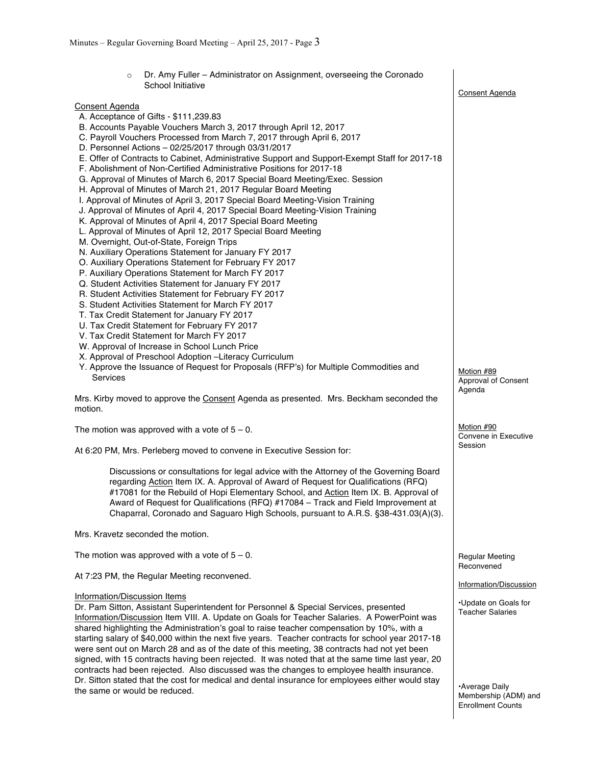| Dr. Amy Fuller – Administrator on Assignment, overseeing the Coronado<br>$\circ$                                                                                                                                                                                                                                                                                                                                                                                                                                                                                                                                                                                                                                                                                                                                                                                                                                                                                                                                                                                                                                                                                                                                                                                                                                                                                                                                                                                                                                                                                                                                                                                                                                                                      |                                                 |
|-------------------------------------------------------------------------------------------------------------------------------------------------------------------------------------------------------------------------------------------------------------------------------------------------------------------------------------------------------------------------------------------------------------------------------------------------------------------------------------------------------------------------------------------------------------------------------------------------------------------------------------------------------------------------------------------------------------------------------------------------------------------------------------------------------------------------------------------------------------------------------------------------------------------------------------------------------------------------------------------------------------------------------------------------------------------------------------------------------------------------------------------------------------------------------------------------------------------------------------------------------------------------------------------------------------------------------------------------------------------------------------------------------------------------------------------------------------------------------------------------------------------------------------------------------------------------------------------------------------------------------------------------------------------------------------------------------------------------------------------------------|-------------------------------------------------|
| School Initiative                                                                                                                                                                                                                                                                                                                                                                                                                                                                                                                                                                                                                                                                                                                                                                                                                                                                                                                                                                                                                                                                                                                                                                                                                                                                                                                                                                                                                                                                                                                                                                                                                                                                                                                                     | <b>Consent Agenda</b>                           |
| <b>Consent Agenda</b><br>A. Acceptance of Gifts - \$111,239.83<br>B. Accounts Payable Vouchers March 3, 2017 through April 12, 2017<br>C. Payroll Vouchers Processed from March 7, 2017 through April 6, 2017<br>D. Personnel Actions - 02/25/2017 through 03/31/2017<br>E. Offer of Contracts to Cabinet, Administrative Support and Support-Exempt Staff for 2017-18<br>F. Abolishment of Non-Certified Administrative Positions for 2017-18<br>G. Approval of Minutes of March 6, 2017 Special Board Meeting/Exec. Session<br>H. Approval of Minutes of March 21, 2017 Regular Board Meeting<br>I. Approval of Minutes of April 3, 2017 Special Board Meeting-Vision Training<br>J. Approval of Minutes of April 4, 2017 Special Board Meeting-Vision Training<br>K. Approval of Minutes of April 4, 2017 Special Board Meeting<br>L. Approval of Minutes of April 12, 2017 Special Board Meeting<br>M. Overnight, Out-of-State, Foreign Trips<br>N. Auxiliary Operations Statement for January FY 2017<br>O. Auxiliary Operations Statement for February FY 2017<br>P. Auxiliary Operations Statement for March FY 2017<br>Q. Student Activities Statement for January FY 2017<br>R. Student Activities Statement for February FY 2017<br>S. Student Activities Statement for March FY 2017<br>T. Tax Credit Statement for January FY 2017<br>U. Tax Credit Statement for February FY 2017<br>V. Tax Credit Statement for March FY 2017<br>W. Approval of Increase in School Lunch Price<br>X. Approval of Preschool Adoption -Literacy Curriculum<br>Y. Approve the Issuance of Request for Proposals (RFP's) for Multiple Commodities and<br>Services<br>Mrs. Kirby moved to approve the Consent Agenda as presented. Mrs. Beckham seconded the | Motion #89<br>Approval of Consent<br>Agenda     |
| motion.                                                                                                                                                                                                                                                                                                                                                                                                                                                                                                                                                                                                                                                                                                                                                                                                                                                                                                                                                                                                                                                                                                                                                                                                                                                                                                                                                                                                                                                                                                                                                                                                                                                                                                                                               |                                                 |
| The motion was approved with a vote of $5 - 0$ .                                                                                                                                                                                                                                                                                                                                                                                                                                                                                                                                                                                                                                                                                                                                                                                                                                                                                                                                                                                                                                                                                                                                                                                                                                                                                                                                                                                                                                                                                                                                                                                                                                                                                                      | Motion #90<br>Convene in Executive              |
| At 6:20 PM, Mrs. Perleberg moved to convene in Executive Session for:                                                                                                                                                                                                                                                                                                                                                                                                                                                                                                                                                                                                                                                                                                                                                                                                                                                                                                                                                                                                                                                                                                                                                                                                                                                                                                                                                                                                                                                                                                                                                                                                                                                                                 | Session                                         |
| Discussions or consultations for legal advice with the Attorney of the Governing Board<br>regarding Action Item IX. A. Approval of Award of Request for Qualifications (RFQ)<br>#17081 for the Rebuild of Hopi Elementary School, and Action Item IX. B. Approval of<br>Award of Request for Qualifications (RFQ) #17084 – Track and Field Improvement at<br>Chaparral, Coronado and Saguaro High Schools, pursuant to A.R.S. §38-431.03(A)(3).                                                                                                                                                                                                                                                                                                                                                                                                                                                                                                                                                                                                                                                                                                                                                                                                                                                                                                                                                                                                                                                                                                                                                                                                                                                                                                       |                                                 |
| Mrs. Kravetz seconded the motion.                                                                                                                                                                                                                                                                                                                                                                                                                                                                                                                                                                                                                                                                                                                                                                                                                                                                                                                                                                                                                                                                                                                                                                                                                                                                                                                                                                                                                                                                                                                                                                                                                                                                                                                     |                                                 |
| The motion was approved with a vote of $5 - 0$ .                                                                                                                                                                                                                                                                                                                                                                                                                                                                                                                                                                                                                                                                                                                                                                                                                                                                                                                                                                                                                                                                                                                                                                                                                                                                                                                                                                                                                                                                                                                                                                                                                                                                                                      | <b>Regular Meeting</b><br>Reconvened            |
| At 7:23 PM, the Regular Meeting reconvened.                                                                                                                                                                                                                                                                                                                                                                                                                                                                                                                                                                                                                                                                                                                                                                                                                                                                                                                                                                                                                                                                                                                                                                                                                                                                                                                                                                                                                                                                                                                                                                                                                                                                                                           | Information/Discussion                          |
| Information/Discussion Items<br>Dr. Pam Sitton, Assistant Superintendent for Personnel & Special Services, presented<br>Information/Discussion Item VIII. A. Update on Goals for Teacher Salaries. A PowerPoint was<br>shared highlighting the Administration's goal to raise teacher compensation by 10%, with a<br>starting salary of \$40,000 within the next five years. Teacher contracts for school year 2017-18<br>were sent out on March 28 and as of the date of this meeting, 38 contracts had not yet been                                                                                                                                                                                                                                                                                                                                                                                                                                                                                                                                                                                                                                                                                                                                                                                                                                                                                                                                                                                                                                                                                                                                                                                                                                 | •Update on Goals for<br><b>Teacher Salaries</b> |

signed, with 15 contracts having been rejected. It was noted that at the same time last year, 20 contracts had been rejected. Also discussed was the changes to employee health insurance. Dr. Sitton stated that the cost for medical and dental insurance for employees either would stay

the same or would be reduced.

•Average Daily Membership (ADM) and Enrollment Counts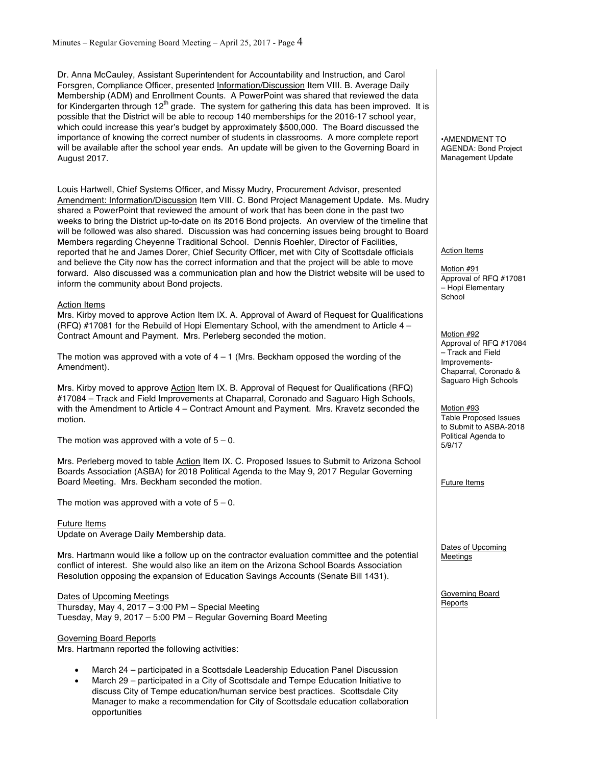Dr. Anna McCauley, Assistant Superintendent for Accountability and Instruction, and Carol Forsgren, Compliance Officer, presented Information/Discussion Item VIII. B. Average Daily Membership (ADM) and Enrollment Counts. A PowerPoint was shared that reviewed the data for Kindergarten through 12<sup>th</sup> grade. The system for gathering this data has been improved. It is possible that the District will be able to recoup 140 memberships for the 2016-17 school year, which could increase this year's budget by approximately \$500,000. The Board discussed the importance of knowing the correct number of students in classrooms. A more complete report will be available after the school year ends. An update will be given to the Governing Board in August 2017.

Louis Hartwell, Chief Systems Officer, and Missy Mudry, Procurement Advisor, presented Amendment: Information/Discussion Item VIII. C. Bond Project Management Update. Ms. Mudry shared a PowerPoint that reviewed the amount of work that has been done in the past two weeks to bring the District up-to-date on its 2016 Bond projects. An overview of the timeline that will be followed was also shared. Discussion was had concerning issues being brought to Board Members regarding Cheyenne Traditional School. Dennis Roehler, Director of Facilities, reported that he and James Dorer, Chief Security Officer, met with City of Scottsdale officials and believe the City now has the correct information and that the project will be able to move forward. Also discussed was a communication plan and how the District website will be used to inform the community about Bond projects.

#### Action Items

Mrs. Kirby moved to approve Action Item IX. A. Approval of Award of Request for Qualifications (RFQ) #17081 for the Rebuild of Hopi Elementary School, with the amendment to Article 4 – Contract Amount and Payment. Mrs. Perleberg seconded the motion.

The motion was approved with a vote of  $4 - 1$  (Mrs. Beckham opposed the wording of the Amendment).

Mrs. Kirby moved to approve Action Item IX. B. Approval of Request for Qualifications (RFQ) #17084 – Track and Field Improvements at Chaparral, Coronado and Saguaro High Schools, with the Amendment to Article 4 – Contract Amount and Payment. Mrs. Kravetz seconded the motion.

The motion was approved with a vote of  $5 - 0$ .

Mrs. Perleberg moved to table Action Item IX. C. Proposed Issues to Submit to Arizona School Boards Association (ASBA) for 2018 Political Agenda to the May 9, 2017 Regular Governing Board Meeting. Mrs. Beckham seconded the motion.

The motion was approved with a vote of  $5 - 0$ .

#### Future Items

Update on Average Daily Membership data.

Mrs. Hartmann would like a follow up on the contractor evaluation committee and the potential conflict of interest. She would also like an item on the Arizona School Boards Association Resolution opposing the expansion of Education Savings Accounts (Senate Bill 1431).

#### Dates of Upcoming Meetings

Thursday, May 4, 2017 – 3:00 PM – Special Meeting Tuesday, May 9, 2017 – 5:00 PM – Regular Governing Board Meeting

## Governing Board Reports

Mrs. Hartmann reported the following activities:

- March 24 participated in a Scottsdale Leadership Education Panel Discussion
- March 29 participated in a City of Scottsdale and Tempe Education Initiative to discuss City of Tempe education/human service best practices. Scottsdale City Manager to make a recommendation for City of Scottsdale education collaboration opportunities

•AMENDMENT TO AGENDA: Bond Project Management Update

#### Action Items

Motion #91 Approval of RFQ #17081 – Hopi Elementary **School** 

Motion #92 Approval of RFQ #17084 – Track and Field Improvements-Chaparral, Coronado & Saguaro High Schools

Motion #93 Table Proposed Issues to Submit to ASBA-2018 Political Agenda to 5/9/17

Future Items

Dates of Upcoming Meetings

Governing Board Reports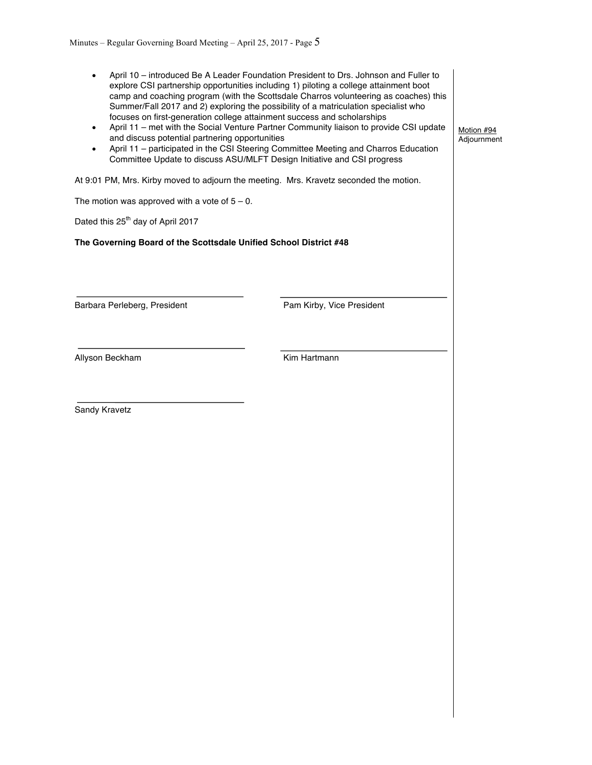| explore CSI partnership opportunities including 1) piloting a college attainment boot<br>camp and coaching program (with the Scottsdale Charros volunteering as coaches) this<br>Summer/Fall 2017 and 2) exploring the possibility of a matriculation specialist who<br>focuses on first-generation college attainment success and scholarships<br>April 11 - met with the Social Venture Partner Community liaison to provide CSI update<br>and discuss potential partnering opportunities<br>April 11 - participated in the CSI Steering Committee Meeting and Charros Education<br>Committee Update to discuss ASU/MLFT Design Initiative and CSI progress | Motion #94<br>Adjournment                                                                                                                                 |
|---------------------------------------------------------------------------------------------------------------------------------------------------------------------------------------------------------------------------------------------------------------------------------------------------------------------------------------------------------------------------------------------------------------------------------------------------------------------------------------------------------------------------------------------------------------------------------------------------------------------------------------------------------------|-----------------------------------------------------------------------------------------------------------------------------------------------------------|
| At 9:01 PM, Mrs. Kirby moved to adjourn the meeting. Mrs. Kravetz seconded the motion.                                                                                                                                                                                                                                                                                                                                                                                                                                                                                                                                                                        |                                                                                                                                                           |
|                                                                                                                                                                                                                                                                                                                                                                                                                                                                                                                                                                                                                                                               |                                                                                                                                                           |
|                                                                                                                                                                                                                                                                                                                                                                                                                                                                                                                                                                                                                                                               |                                                                                                                                                           |
|                                                                                                                                                                                                                                                                                                                                                                                                                                                                                                                                                                                                                                                               |                                                                                                                                                           |
| Pam Kirby, Vice President                                                                                                                                                                                                                                                                                                                                                                                                                                                                                                                                                                                                                                     |                                                                                                                                                           |
| Kim Hartmann                                                                                                                                                                                                                                                                                                                                                                                                                                                                                                                                                                                                                                                  |                                                                                                                                                           |
|                                                                                                                                                                                                                                                                                                                                                                                                                                                                                                                                                                                                                                                               |                                                                                                                                                           |
|                                                                                                                                                                                                                                                                                                                                                                                                                                                                                                                                                                                                                                                               | April 10 - introduced Be A Leader Foundation President to Drs. Johnson and Fuller to<br>The Governing Board of the Scottsdale Unified School District #48 |